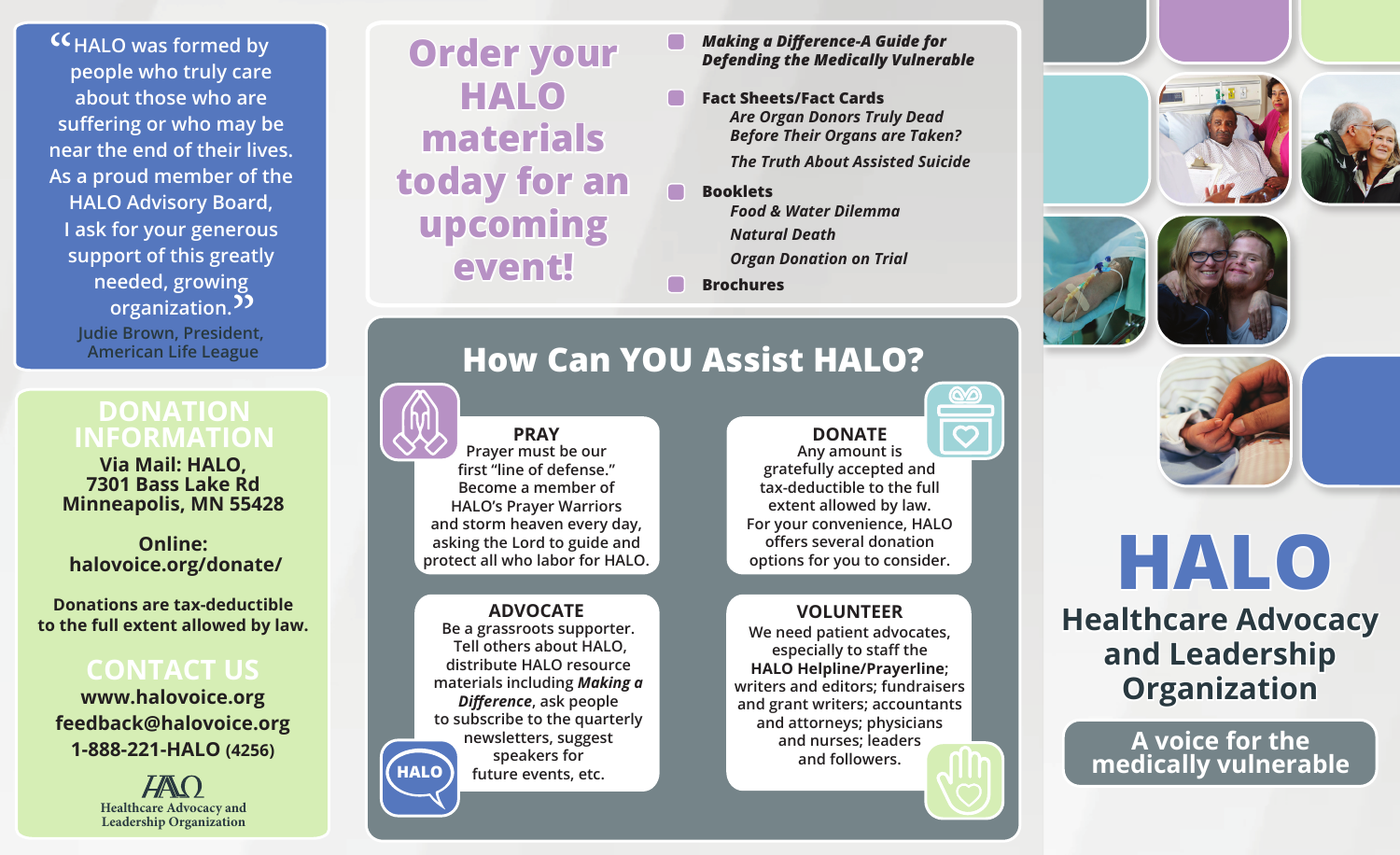**CC** HALO was formed by<br>people who truly care **people who truly care about those who are suffering or who may be near the end of their lives. As a proud member of the HALO Advisory Board, I ask for your generous support of this greatly needed, growing**  eeded, growing<br>organization.<sup>99</sup>

> **Judie Brown, President, American Life League**

### **DONATION INFORMATION**

**Via Mail: HALO, 7301 Bass Lake Rd Minneapolis, MN 55428**

**Online: halovoice.org/donate/**

**Donations are tax-deductible to the full extent allowed by law.**

### **CONTACT US**

**www.halovoice.org feedback@halovoice.org 1-888-221-HALO (4256)**

> $H\!A\!M$ **Healthcare Advocacy and Leadership Organization**

## **Order your HALO materials today for an upcoming event!**

*Making a Difference-A Guide for Defending the Medically Vulnerable*

- **Fact Sheets/Fact Cards** *Are Organ Donors Truly Dead Before Their Organs are Taken? The Truth About Assisted Suicide*
- **Booklets** *Food & Water Dilemma Natural Death Organ Donation on Trial*

**Brochures**









## **How Can YOU Assist HALO?**

**PRAY Prayer must be our first "line of defense." Become a member of HALO's Prayer Warriors and storm heaven every day, asking the Lord to guide and protect all who labor for HALO.**

**ADVOCATE Be a grassroots supporter. Tell others about HALO, distribute HALO resource materials including** *Making a Difference***, ask people to subscribe to the quarterly newsletters, suggest speakers for future events, etc. HALO**

**DONATE Any amount is gratefully accepted and tax-deductible to the full extent allowed by law. For your convenience, HALO offers several donation options for you to consider.** 

#### **VOLUNTEER**

**We need patient advocates, especially to staff the HALO Helpline/Prayerline; writers and editors; fundraisers and grant writers; accountants and attorneys; physicians and nurses; leaders and followers.**



**A voice for the medically vulnerable**